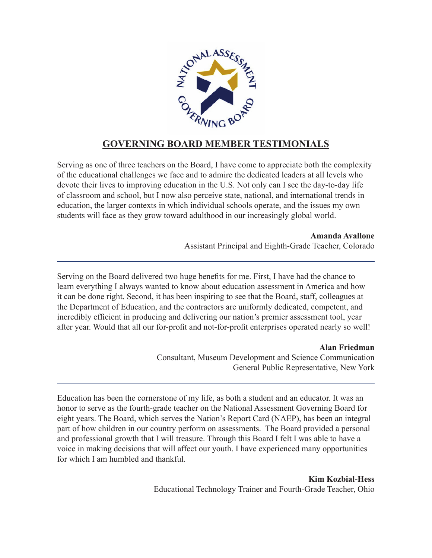

## **GOVERNING BOARD MEMBER TESTIMONIALS**

Serving as one of three teachers on the Board, I have come to appreciate both the complexity of the educational challenges we face and to admire the dedicated leaders at all levels who devote their lives to improving education in the U.S. Not only can I see the day-to-day life of classroom and school, but I now also perceive state, national, and international trends in education, the larger contexts in which individual schools operate, and the issues my own students will face as they grow toward adulthood in our increasingly global world.

> **Amanda Avallone** Assistant Principal and Eighth-Grade Teacher, Colorado

Serving on the Board delivered two huge benefits for me. First, I have had the chance to learn everything I always wanted to know about education assessment in America and how it can be done right. Second, it has been inspiring to see that the Board, staff, colleagues at the Department of Education, and the contractors are uniformly dedicated, competent, and incredibly efficient in producing and delivering our nation's premier assessment tool, year after year. Would that all our for-profit and not-for-profit enterprises operated nearly so well!

> **Alan Friedman** Consultant, Museum Development and Science Communication General Public Representative, New York

Education has been the cornerstone of my life, as both a student and an educator. It was an honor to serve as the fourth-grade teacher on the National Assessment Governing Board for eight years. The Board, which serves the Nation's Report Card (NAEP), has been an integral part of how children in our country perform on assessments. The Board provided a personal and professional growth that I will treasure. Through this Board I felt I was able to have a voice in making decisions that will affect our youth. I have experienced many opportunities for which I am humbled and thankful.

> **Kim Kozbial-Hess** Educational Technology Trainer and Fourth-Grade Teacher, Ohio